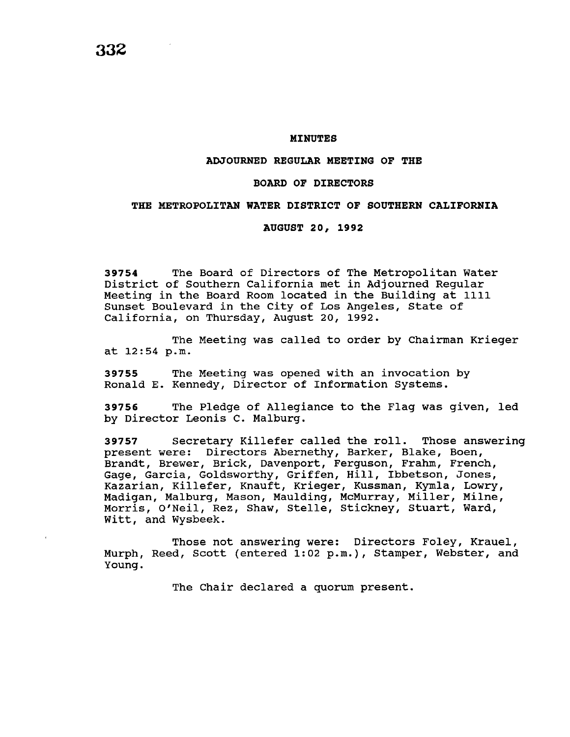#### **MINUTES**

## **ADJOURNED REGULAR MEETING OF THE**

## **BOARD OF DIRECTORS**

## **THE METROPOLITAN WATER DISTRICT OF SOUTHERN CALIFORNIA**

#### **AUGUST 20, 1992**

**39754** The Board of Directors of The Metropolitan Water District of Southern California met in Adjourned Regular Meeting in the Board Room located in the Building at 1111 Sunset Boulevard in the City of Los Angeles, State of California, on Thursday, August 20, 1992.

The Meeting was called to order by Chairman Krieger at 12:54 p.m.

**39755** The Meeting was opened with an invocation by Ronald E. Kennedy, Director of Information Systems.

**39756** The Pledge of Allegiance to the Flag was given, led by Director Leonis c. Malburg.

**39757** Secretary Killefer called the roll. Those answering present were: Directors Abernethy, Barker, Blake, Boen, Brandt, Brewer, Brick, Davenport, Ferguson, Frahm, French, Gage, Garcia, Goldsworthy, Griffen, Hill, Ibbetson, Jones, Kazarian, Killefer, Knauft, Krieger, Kussman, Kymla, Lowry, Madigan, Malburg, Mason, Maulding, McMurray, Miller, Milne, Morris, O'Neil, Rez, Shaw, Stelle, Stickney, Stuart, Ward, Witt, and Wysbeek.

Those not answering were: Directors Foley, Krauel, Murph, Reed, Scott (entered 1:02 p.m.), Stamper, Webster, and Young.

The Chair declared a quorum present.

**332**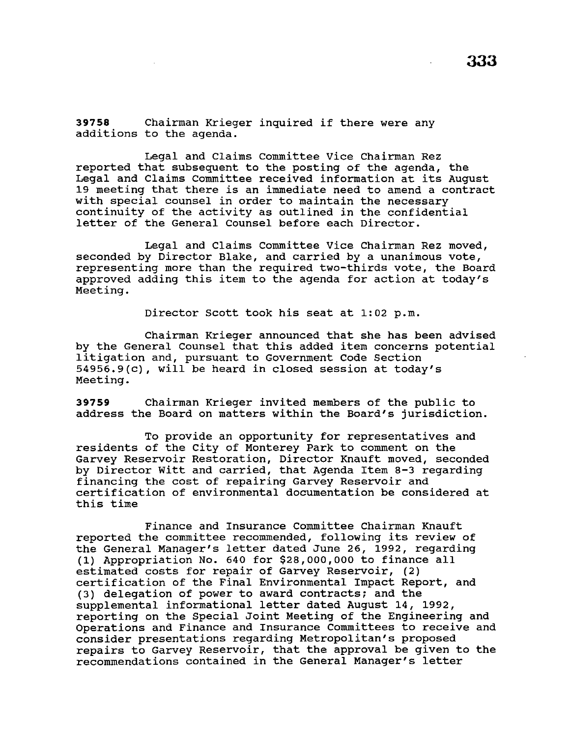**<sup>39758</sup>**Chairman Krieger inquired if there were any additions to the agenda.

Legal and Claims Committee Vice Chairman Rez reported that subsequent to the posting of the agenda, the Legal and Claims Committee received information at its August 19 meeting that there is an immediate need to amend a contract with special counsel in order to maintain the necessary continuity of the activity as outlined in the confidential letter of the General Counsel before each Director.

Legal and Claims Committee Vice Chairman Rez moved, seconded by Director Blake, and carried by a unanimous vote, representing more than the required two-thirds vote, the Board approved adding this item to the agenda for action at today's Meeting.

Director Scott took his seat at 1:02 p.m.

Chairman Krieger announced that she has been advised by the General Counsel that this added item concerns potential by the seneral counser that this daded feem concerns 54956.9(c), will be heard in closed session at today's Meeting.

**39759** Chairman Krieger invited members of the public to address the Board on matters within the Board's jurisdiction.

To provide an opportunity for representatives and residents of the City of Monterey Park to comment on the Garvey Reservoir Restoration, Director Knauft moved, seconded by Director Witt and carried, that Agenda Item 8-3 regarding financing the cost of repairing Garvey Reservoir and certification of environmental documentation be considered at this time

Finance and Insurance Committee Chairman Knauft reported the committee recommended, following its review of the General Manager's letter dated June 26, 1992, regarding (1) Appropriation No. 640 for \$28,000,000 to finance all estimated costs for repair of Garvey Reservoir, (2) certification of the Final Environmental Impact Report, and (3) delegation of power to award contracts; and the supplemental informational letter dated August 14, 1992, reporting on the Special Joint Meeting of the Engineering and Operations and Finance and Insurance Committees to receive and consider presentations regarding Metropolitan's proposed repairs to Garvey Reservoir, that the approval be given to the recommendations contained in the General Manager's letter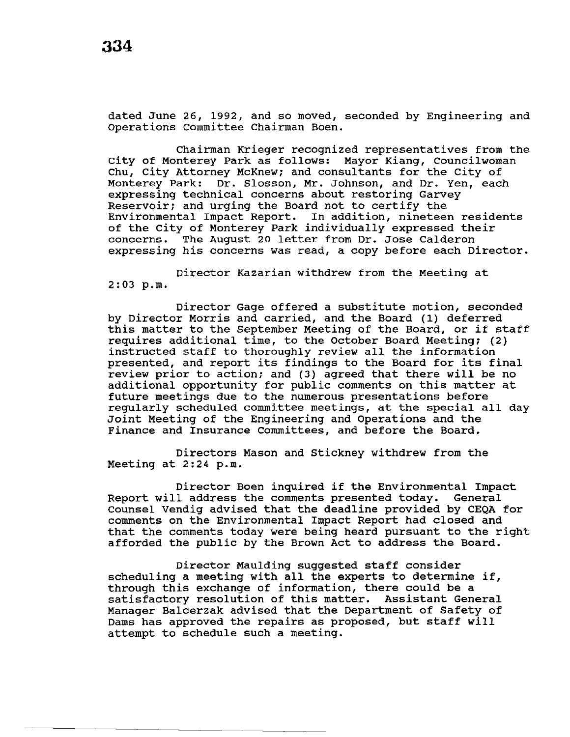dated June 26, 1992, and so moved, seconded by Engineering and Operations Committee Chairman Boen.

Chairman Krieger recognized representatives from the city of Monterey Park as follows: Mayor Kiang, Councilwoman Chu, City Attorney McKnew; and consultants for the City of Monterey Park: Dr. Slosson, Mr. Johnson, and Dr. Yen, each expressing technical concerns about restoring Garvey Reservoir; and urging the Board not to certify the Environmental Impact Report. In addition, nineteen residents of the city of Monterey Park individually expressed their concerns. The August 20 letter from Dr. Jose Calderon expressing his concerns was read, a copy before each Director.

Director Kazarian withdrew from the Meeting at 2:03 p.m.

Director Gage offered a substitute motion, seconded by Director Morris and carried, and the Board (1) deferred this matter to the September Meeting of the Board, or if staff requires additional time, to the October Board Meeting; (2) instructed staff to thoroughly review all the information presented, and report its findings to the Board for its final review prior to action; and (3) agreed that there will be no additional opportunity for public comments on this matter at future meetings due to the numerous presentations before regularly scheduled committee meetings, at the special all day Joint Meeting of the Engineering and Operations and the Finance and Insurance Committees, and before the Board.

Directors Mason and Stickney withdrew from the Meeting at 2:24 p.m.

Director Boen inquired if the Environmental Impact<br>1 address the comments presented today. General Report will address the comments presented today. counsel Vendig advised that the deadline provided by CEQA for comments on the Environmental Impact Report had closed and that the comments today were being heard pursuant to the right afforded the public by the Brown Act to address the Board.

Director Maulding suggested staff consider scheduling a meeting with all the experts to determine if, through this exchange of information, there could be a satisfactory resolution of this matter. Assistant General Manager Balcerzak advised that the Department of Safety of Dams has approved the repairs as proposed, but staff will attempt to schedule such a meeting.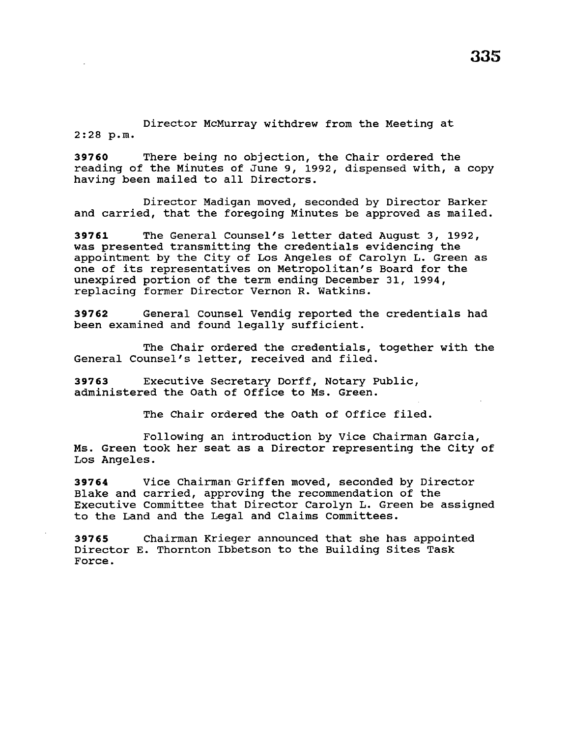Director McMurray withdrew from the Meeting at 2:28 p.m.

**39760** There being no objection, the Chair ordered the reading of the Minutes of June 9, 1992, dispensed with, a copy having been mailed to all Directors.

Director Madigan moved, seconded by Director Barker and carried, that the foregoing Minutes be approved as mailed.

**39761** The General Counsel's letter dated August 3, 1992, was presented transmitting the credentials evidencing the appointment by the City of Los Angeles of Carolyn L. Green as one of its representatives on Metropolitan's Board for the unexpired portion of the term ending December 31, 1994, replacing former Director Vernon R. Watkins.

**39762** General Counsel Vendig reported the credentials had been examined and found legally sufficient.

The Chair ordered the credentials, together with the General Counsel's letter, received and filed.

**39763** Executive Secretary Dorff, Notary Public, administered the oath of Office to Ms. Green.

The Chair ordered the oath of Office filed.

Following an introduction by Vice Chairman Garcia, Ms. Green took her seat as a Director representing the City of Los Angeles.

**39764** Vice Chairman Griffen moved, seconded by Director Blake and carried, approving the recommendation of the Executive Committee that Director Carolyn L. Green be assigned to the Land and the Legal and Claims Committees.

**39765** Chairman Krieger announced that she has appointed Director E. Thornton Ibbetson to the Building Sites Task Force.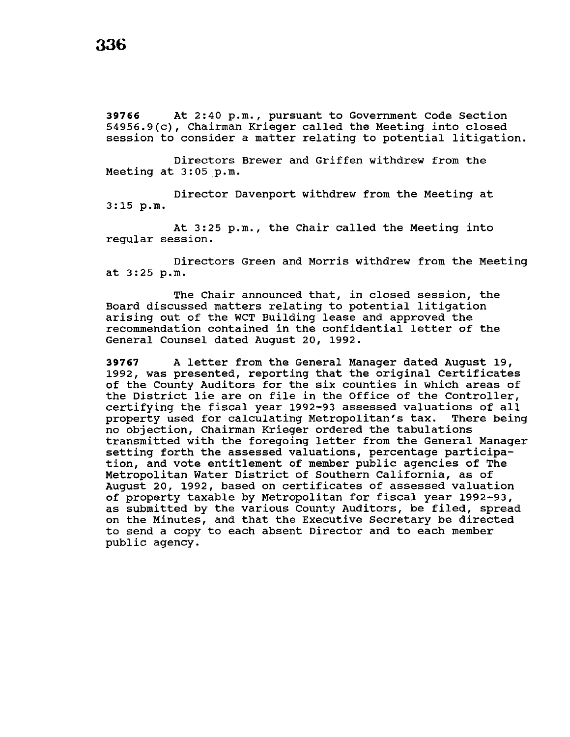**39766** At 2:40p.m., pursuant to Government Code Section 54956.9(c), Chairman Krieger called the Meeting into closed session to consider a matter relating to potential litigation.

Directors Brewer and Griffen withdrew from the Meeting at 3:05 p.m.

Director Davenport withdrew from the Meeting at 3:15 p.m.

At 3:25 p.m., the Chair called the Meeting into regular session.

Directors Green and Morris withdrew from the Meeting at 3:25 p.m.

The Chair announced that, in closed session, the Board discussed matters relating to potential litigation arising out of the WCT Building lease and approved the recommendation contained in the confidential letter of the General Counsel dated August 20, 1992.

**<sup>39767</sup>**A letter from the General Manager dated August 19, 1992, was presented, reporting that the original Certificates of the County Auditors for the six counties in which areas of the District lie are on file in the Office of the Controller, certifying the fiscal year 1992-93 assessed valuations of all property used for calculating Metropolitan's tax. no objection, Chairman Krieger ordered the tabulations transmitted with the foregoing letter from the General Manager setting forth the assessed valuations, percentage participation, and vote entitlement of member public agencies of The Metropolitan Water District of Southern California, as of August 20, 1992, based on certificates of assessed valuation of property taxable by Metropolitan for fiscal year 1992-93, as submitted by the various County Auditors, be filed, spread on the Minutes, and that the Executive Secretary be directed to send a copy to each absent Director and to each member public agency.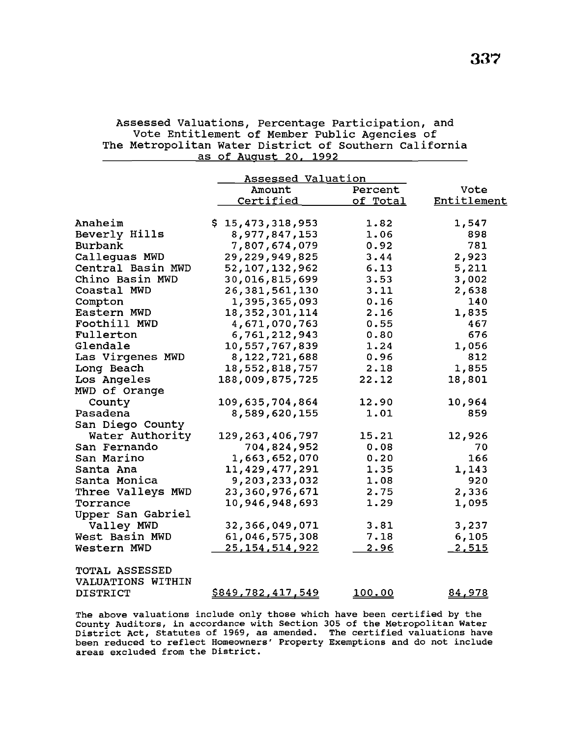|                       | Assessed Valuation       |                |               |
|-----------------------|--------------------------|----------------|---------------|
|                       | Amount                   | Percent        | Vote          |
|                       | Certified                | of Total       | Entitlement   |
|                       |                          |                |               |
| Anaheim               | \$15,473,318,953         | 1.82           | 1,547         |
| Beverly Hills         | 8,977,847,153            | 1.06           | 898           |
| Burbank               | 7,807,674,079            | 0.92           | 781           |
| Callequas MWD         | 29,229,949,825           | 3.44           | 2,923         |
| Central Basin MWD     | 52, 107, 132, 962        | 6.13           | 5,211         |
| Chino Basin MWD       | 30,016,815,699           | 3.53           | 3,002         |
| Coastal MWD           | 26,381,561,130           | 3.11           | 2,638         |
| Compton               | 1,395,365,093            | 0.16           | 140           |
| Eastern MWD           | 18, 352, 301, 114        | 2.16           | 1,835         |
| Foothill MWD          | 4,671,070,763            | 0.55           | 467           |
| Fullerton             | 6,761,212,943            | 0.80           | 676           |
| Glendale              | 10,557,767,839           | 1.24           | 1,056         |
| Las Virgenes MWD      | 8,122,721,688            | 0.96           | 812           |
| Long Beach            | 18,552,818,757           | 2.18           | 1,855         |
| Los Angeles           | 188,009,875,725          | 22.12          | 18,801        |
| MWD of Orange         |                          |                |               |
| County                | 109,635,704,864          | 12.90          | 10,964        |
| Pasadena              | 8,589,620,155            | 1.01           | 859           |
| San Diego County      |                          |                |               |
| Water Authority       | 129, 263, 406, 797       | 15.21          | 12,926        |
| San Fernando          | 704,824,952              | 0.08           | 70            |
| San Marino            | 1,663,652,070            | 0.20           | 166           |
| Santa Ana             | 11,429,477,291           | 1.35           | 1,143         |
| Santa Monica          | 9,203,233,032            | 1.08           | 920           |
| Three Valleys MWD     | 23,360,976,671           | 2.75           | 2,336         |
| Torrance              | 10,946,948,693           | 1.29           | 1,095         |
| Upper San Gabriel     |                          |                |               |
| Valley MWD            | 32,366,049,071           | 3.81           | 3,237         |
| West Basin MWD        | 61,046,575,308           | 7.18           | 6,105         |
| Western MWD           | 25, 154, 514, 922        | 2.96           | <u>2,515</u>  |
| <b>TOTAL ASSESSED</b> |                          |                |               |
| VALUATIONS WITHIN     |                          |                |               |
| <b>DISTRICT</b>       | <u>\$849,782,417,549</u> | <u> 100.00</u> | <u>84,978</u> |

Assessed Valuations, Percentage Participation, and Vote Entitlement of Member Public Agencies of The Metropolitan Water District of Southern California as of August 20. 1992

The above valuations include only those which have been certified by the County Auditors, in accordance with Section 305 of the Metropolitan Water District Act, Statutes of 1969, as amended. The certified valuations have been reduced to reflect Homeowners• Property Exemptions and do not include areas excluded from the District.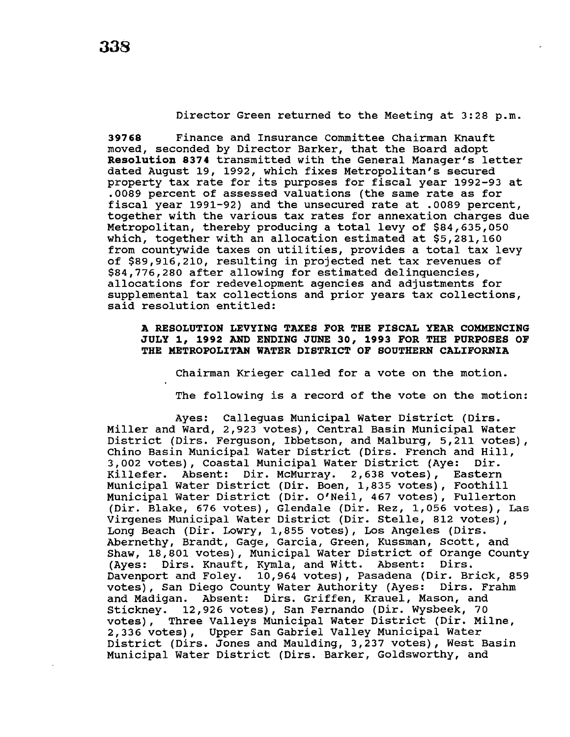**39768** Finance and Insurance Committee Chairman Knauft moved, seconded by Director Barker, that the Board adopt **Resolution 8374** transmitted with the General Manager's letter dated August 19, 1992, which fixes Metropolitan's secured property tax rate for its purposes for fiscal year 1992-93 at .0089 percent of assessed valuations (the same rate as for fiscal year 1991-92) and the unsecured rate at .0089 percent, together with the various tax rates for annexation charges due Metropolitan, thereby producing a total levy of \$84,635,050 which, together with an allocation estimated at \$5,281,160 from countywide taxes on utilities, provides a total tax levy of \$89,916,210, resulting in projected net tax revenues of \$84,776,280 after allowing for estimated delinquencies, allocations for redevelopment agencies and adjustments for supplemental tax collections and prior years tax collections, said resolution entitled:

**A RESOLUTION LEVYING TAXES FOR THE FISCAL YEAR COMMENCING JULY 1 <sup>1</sup>1992 AND ENDING JUNE 30, 1993 FOR THE PURPOSES OF THE METROPOLITAN WATER DISTRICT OF SOUTHERN CALIFORNIA** 

Chairman Krieger called for a vote on the motion.

The following is a record of the vote on the motion:

Ayes: Calleguas Municipal Water District (Dirs. Miller and Ward, 2,923 votes), Central Basin Municipal Water District (Dirs. Ferguson, Ibbetson, and Malburg, 5,211 votes), Chino Basin Municipal water District (Dirs. French and Hill, 3,002 votes), Coastal Municipal Water District (Aye: Dir. Killefer. Absent: Dir. McMurray. 2,638 votes), Eastern Municipal Water District (Dir. Been, 1,835 votes), Foothill Municipal Water District (Dir. O'Neil, 467 votes), Fullerton (Dir. Blake, 676 votes), Glendale (Dir. Rez, 1,056 votes), Las Virgenes Municipal Water District (Dir. Stelle, 812 votes), Long Beach (Dir. Lowry, 1,855 votes), Los Angeles (Dirs. Abernethy, Brandt, Gage, Garcia, Green, Kussman, Scott, and Shaw, 18,801 votes), Municipal Water District of Orange County (Ayes: Dirs. Knauft, Kymla, and Witt. Absent: Dirs. Davenport and Foley. 10,964 votes), Pasadena (Dir. Brick, 859 votes), San Diego County Water Authority (Ayes: Dirs. Frahm votes), San Diego County Water Authority (Ayes: and Madigan. Absent: Dirs. Griffen, Krauel, Mason, and Stickney. 12,926 votes), San Fernando (Dir. Wysbeek, 70 votes), Three Valleys Municipal Water District (Dir. Milne, 2,336 votes), Upper San Gabriel Valley Municipal Water District (Dirs. Jones and Maulding, 3,237 votes), West Basin Municipal Water District (Dirs. Barker, Goldsworthy, and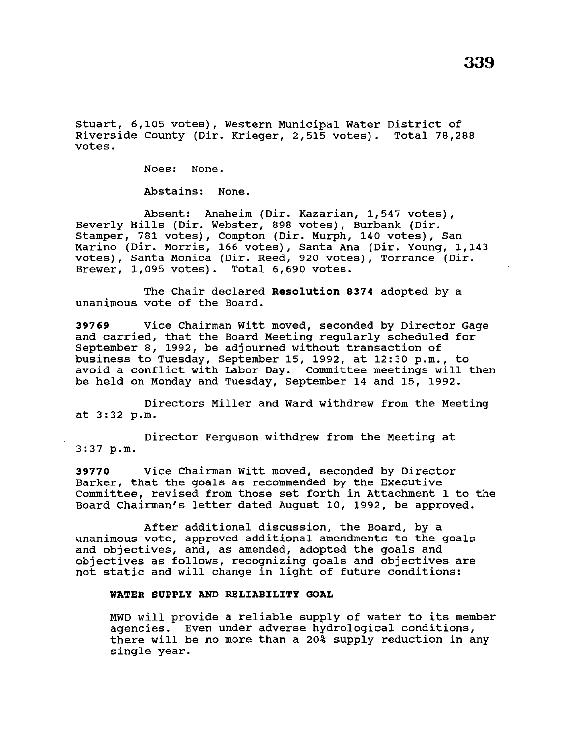Stuart, 6,105 votes), Western Municipal Water District of Riverside County (Dir. Krieger, 2,515 votes). Total 78,288 votes.

Noes: None.

Abstains: None.

Absent: Anaheim (Dir. Kazarian, 1,547 votes), Beverly Hills (Dir. Webster, 898 votes), Burbank (Dir. Stamper, 781 votes), Compton (Dir. Murph, 140 votes), San Marino (Dir. Morris, 166 votes), Santa Ana (Dir. Young, 1,143 votes), Santa Monica (Dir. Reed, 920 votes), Torrance (Dir. Brewer, 1,095 votes). Total 6,690 votes.

The Chair declared **Resolution 8374** adopted by a unanimous vote of the Board.

**39769** Vice Chairman Witt moved, seconded by Director Gage and carried, that the Board Meeting regularly scheduled for September 8, 1992, be adjourned without transaction of business to Tuesday, September 15, 1992, at 12:30 p.m., to avoid a conflict with Labor Day. Committee meetings will then be held on Monday and Tuesday, September 14 and 15, 1992.

Directors Miller and Ward withdrew from the Meeting at 3:32 p.m.

Director Ferguson withdrew from the Meeting at 3:37 p.m.

**39770** Vice Chairman Witt moved, seconded by Director Barker, that the goals as recommended by the Executive Committee, revised from those set forth in Attachment 1 to the Board Chairman's letter dated August 10, 1992, be approved.

After additional discussion, the Board, by a unanimous vote, approved additional amendments to the goals and objectives, and, as amended, adopted the goals and objectives as follows, recognizing goals and objectives are not static and will change in light of future conditions:

# **WATER SUPPLY AND RELIABILITY GOAL**

MWD will provide a reliable supply of water to its member agencies. Even under adverse hydrological conditions, there will be no more than a 20% supply reduction in any single year.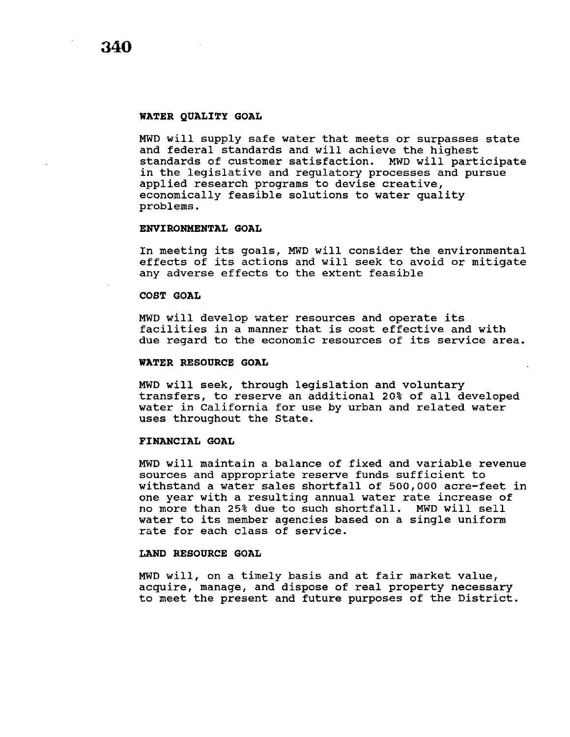**340** 

#### **WATER QUALITY GOAL**

MWD will supply safe water that meets or surpasses state and federal standards and will achieve the highest standards of customer satisfaction. MWD will participate in the legislative and regulatory processes and pursue applied research programs to devise creative, economically feasible solutions to water quality problems.

#### **ENVIRONMENTAL GOAL**

In meeting its goals, MWD will consider the environmental effects of its actions and will seek to avoid or mitigate any adverse effects to the extent feasible

#### **COST GOAL**

MWD will develop water resources and operate its facilities in a manner that is cost effective and with due regard to the economic resources of its service area.

#### **WATER RESOURCE GOAL**

MWD will seek, through legislation and voluntary transfers, to reserve an additional 20% of all developed water in California for use by urban and related water uses throughout the State.

## **FINANCIAL GOAL**

MWD will maintain a balance of fixed and variable revenue sources and appropriate reserve funds sufficient to withstand a water sales shortfall of 500,000 acre-feet in one year with a resulting annual water rate increase of no more than 25% due to such shortfall. MWD will sell water to its member agencies based on a single uniform rate for each class of service.

## **LAND RESOURCE GOAL**

MWD will, on a timely basis and at fair market value, acquire, manage, and dispose of real property necessary to meet the present and future purposes of the District.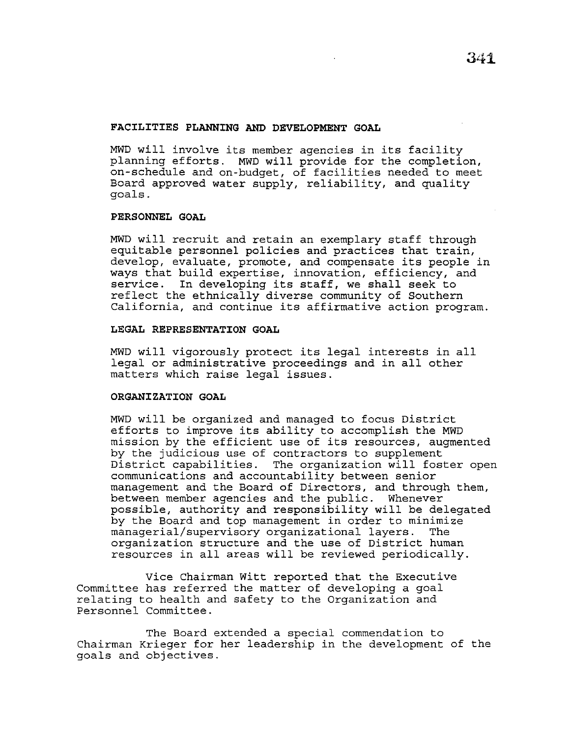## **FACILITIES PLANNING AND DEVELOPMENT GOAL**

MWD will involve its member agencies in its facility planning efforts. MWD will provide for the completion, on-schedule and on-budget, of facilities needed to meet Board approved water supply, reliability, and quality goals.

## **PERSONNEL GOAL**

MWD will recruit and retain an exemplary staff through equitable personnel policies and practices that train, develop, evaluate, promote, and compensate its people in ways that build expertise, innovation, efficiency, and service. In developing its staff, we shall seek to reflect the ethnically diverse community of Southern California, and continue its affirmative action program.

### **LEGAL REPRESENTATION GOAL**

MWD will vigorously protect its legal interests in all legal or administrative proceedings and in all other matters which raise legal issues.

## **ORGANIZATION GOAL**

MWD will be organized and managed to focus District efforts to improve its ability to accomplish the MWD mission by the efficient use of its resources, augmented by the judicious use of contractors to supplement District capabilities. The organization will foster open communications and accountability between senior management and the Board of Directors, and through them, between member agencies and the public. Whenever possible, authority and responsibility will be delegated by the Board and top management in order to minimize managerial/supervisory organizational layers. The organization structure and the use of District human resources in all areas will be reviewed periodically.

Vice Chairman Witt reported that the Executive Committee has referred the matter of developing a goal relating to health and safety to the Organization and Personnel Committee.

The Board extended a special commendation to Chairman Krieger for her leadership in the development of the goals and objectives.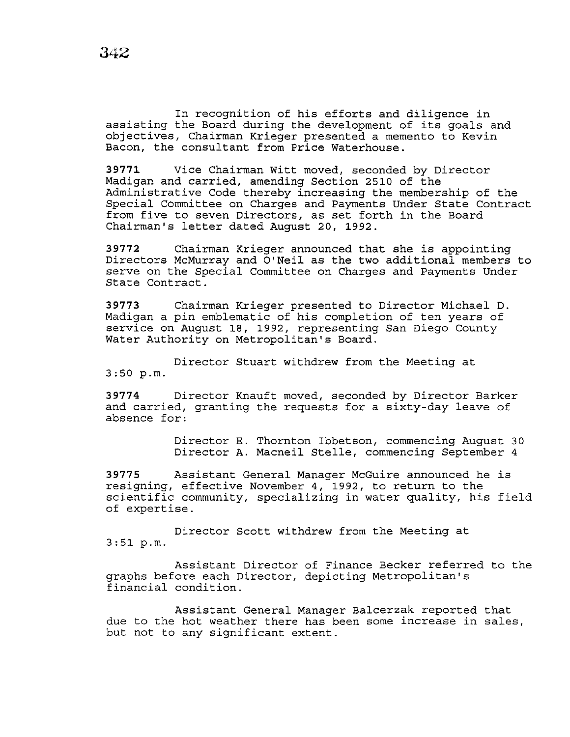In recognition of his efforts and diligence in assisting the Board during the development of its goals and objectives, Chairman Krieger presented a memento to Kevin Bacon, the consultant from Price Waterhouse.

**39771** Vice Chairman Witt moved, seconded by Director Madigan and carried, amending Section 2510 of the Administrative Code thereby increasing the membership of the Special Committee on Charges and Payments Under State Contract from five to seven Directors, as set forth in the Board Chairman's letter dated August 20, 1992.

**<sup>39772</sup>**Chairman Krieger announced that she is appointing Directors McMurray and O'Neil as the two additional members to serve on the Special Committee on Charges and Payments Under State Contract.

**39773** Chairman Krieger presented to Director Michael D. Madigan a pin emblematic of his completion of ten years of service on August 18, 1992, representing San Diego County Water Authority on Metropolitan's Board.

Director Stuart withdrew from the Meeting at 3:50 p.m.

**39774** Director Knauft moved, seconded by Director Barker and carried, granting the requests for a sixty-day leave of absence for:

> Director E. Thornton Ibbetson, commencing August 30 Director A. Macneil Stelle, commencing September 4

**39775** Assistant General Manager McGuire announced he is resigning, effective November 4, 1992, to return to the scientific community, specializing in water quality, his field of expertise.

Director Scott withdrew from the Meeting at  $3:51 p.m.$ 

Assistant Director of Finance Becker referred to the graphs before each Director, depicting Metropolitan's financial condition.

Assistant General Manager Balcerzak reported that due to the hot weather there has been some increase in sales, but not to any significant extent.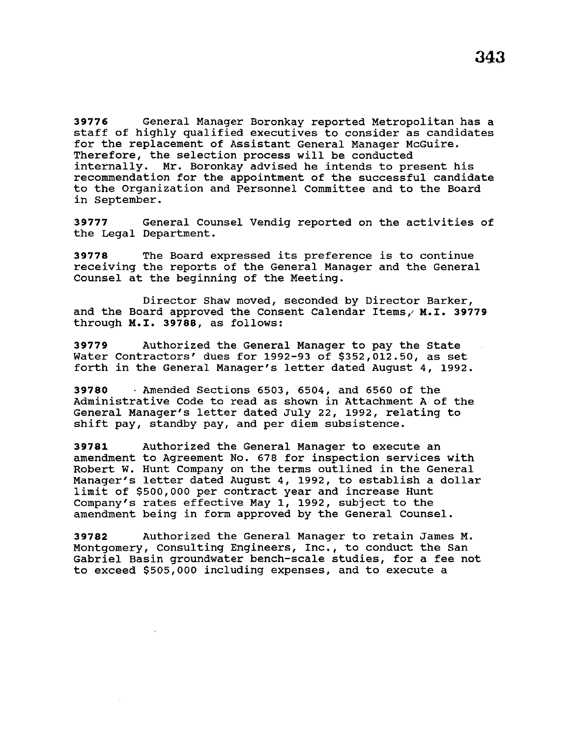staff of highly qualified executives to consider as candidates for the replacement of Assistant General Manager McGuire. Therefore, the selection process will be conducted internally. Mr. Boronkay advised he intends to present his recommendation for the appointment of the successful candidate to the Organization and Personnel Committee and to the Board in September.

**39777** General Counsel Vendig reported on the activities of the Legal Department.

**<sup>39778</sup>**The Board expressed its preference is to continue receiving the reports of the General Manager and the General Counsel at the beginning of the Meeting.

Director Shaw moved, seconded by Director Barker, and the Board approved the Consent Calendar Items,' M.I. **39779**  through M.I. **39788,** as follows:

**39779** Authorized the General Manager to pay the State Water Contractors' dues for 1992-93 of \$352,012.50, as set forth in the General Manager's letter dated August 4, 1992.

**39780** · Amended Sections 6503, 6504, and 6560 of the Administrative Code to read as shown in Attachment A of the General Manager's letter dated July 22, 1992, relating to shift pay, standby pay, and per diem subsistence.

**39781** Authorized the General Manager to execute an amendment to Agreement No. 678 for inspection services with Robert W. Hunt Company on the terms outlined in the General Manager's letter dated August 4, 1992, to establish a dollar limit of \$500,000 per contract year and increase Hunt Company's rates effective May 1, 1992, subject to the amendment being in form approved by the General Counsel.

**39782** Authorized the General Manager to retain James M. Montgomery, Consulting Engineers, Inc., to conduct the San Gabriel Basin groundwater bench-scale studies, for a fee not to exceed \$505,000 including expenses, and to execute a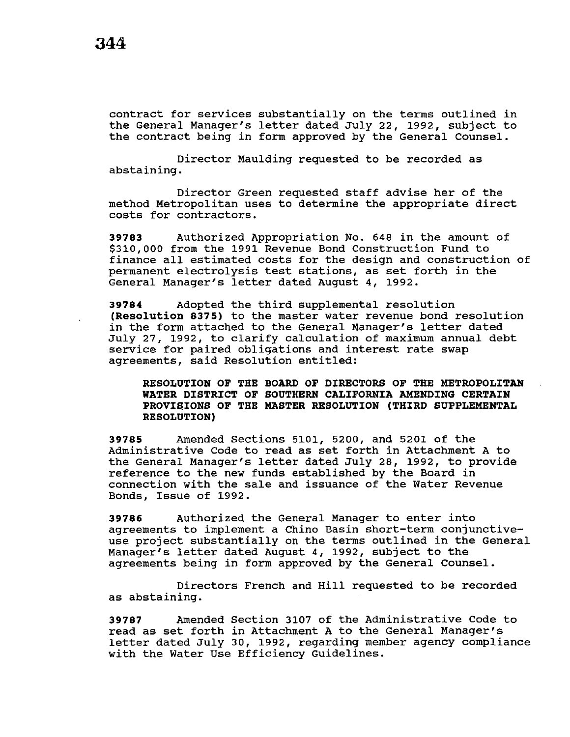contract for services substantially on the terms outlined in the General Manager's letter dated July 22, 1992, subject to the contract being in form approved by the General Counsel.

Director Maulding requested to be recorded as abstaining.

Director Green requested staff advise her of the method Metropolitan uses to determine the appropriate direct costs for contractors.

**39783** Authorized Appropriation No. 648 in the amount of \$310,000 from the 1991 Revenue Bond Construction Fund to finance all estimated costs for the design and construction of permanent electrolysis test stations, as set forth in the General Manager's letter dated August 4, 1992.

**39784** Adopted the third supplemental resolution **(Resolution 8375)** to the master water revenue bond resolution in the form attached to the General Manager's letter dated July 27, 1992, to clarify calculation of maximum annual debt service for paired obligations and interest rate swap agreements, said Resolution entitled:

**RESOLUTION OF THE BOARD OF DIRECTORS OF THE METROPOLITAN WATER DISTRICT OF SOUTHERN CALIFORNIA AMENDING CERTAIN PROVIQIONS OF THE MASTER RESOLUTION (THIRD SUPPLEMENTAL RESOLUTION)** 

**39785** Amended Sections 5101, 5200, and 5201 of the Administrative Code to read as set forth in Attachment A to the General Manager's letter dated July 28, 1992, to provide reference to the new funds established by the Board in connection with the sale and issuance of the Water Revenue Bonds, Issue of 1992.

**39786** Authorized the General Manager to enter into agreements to implement a Chino Basin short-term conjunctiveuse project substantially on the terms outlined in the General Manager's letter dated August 4, 1992, subject to the agreements being in form approved by the General Counsel.

Directors French and Hill requested to be recorded as abstaining.

**39787** Amended Section 3107 of the Administrative Code to read as set forth in Attachment A to the General Manager's letter dated July 30, 1992, regarding member agency compliance with the Water Use Efficiency Guidelines.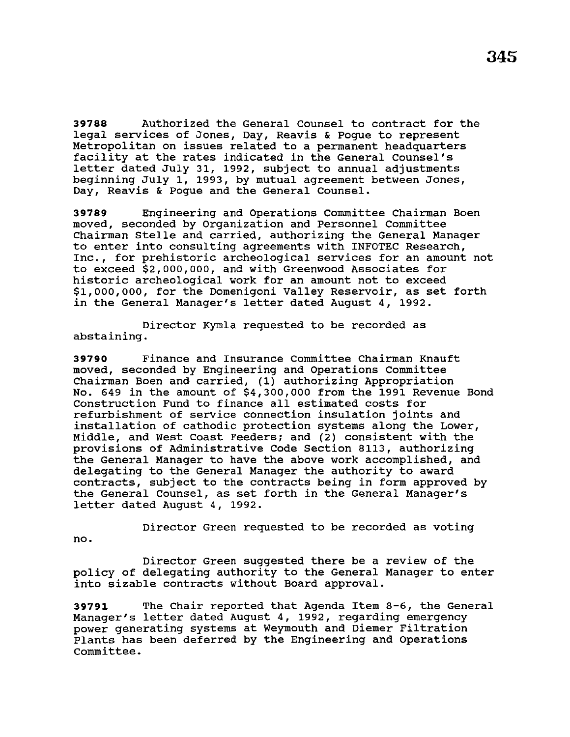**39788** Authorized the General Counsel to contract for the legal services of Jones, Day, Reavis & Pogue to represent Metropolitan on issues related to a permanent headquarters facility at the rates indicated in the General Counsel's letter dated July 31, 1992, subject to annual adjustments beginning July 1, 1993, by mutual agreement between Jones, Day, Reavis & Pogue and the General Counsel.

**39789** Engineering and Operations Committee Chairman Been moved, seconded by Organization and Personnel Committee Chairman Stelle and carried, authorizing the General Manager to enter into consulting agreements with INFOTEC Research, Inc., for prehistoric archeological services for an amount not to exceed \$2,000,000, and with Greenwood Associates for historic archeological work for an amount not to exceed \$1,000,000, for the Domenigoni Valley Reservoir, as set forth in the General Manager's letter dated August 4, 1992.

Director Kymla requested to be recorded as abstaining.

**39790** Finance and Insurance Committee Chairman Knauft moved, seconded by Engineering and Operations Committee Chairman Boen and carried, (1) authorizing Appropriation No. 649 in the amount of \$4,300,000 from the 1991 Revenue Bond Construction Fund to finance all estimated costs for refurbishment of service connection insulation joints and installation of cathodic protection systems along the Lower, Middle, and West Coast Feeders; and (2) consistent with the provisions of Administrative Code Section 8113, authorizing the General Manager to have the above work accomplished, and delegating to the General Manager the authority to award contracts, subject to the contracts being in form approved by the General Counsel, as set forth in the General Manager's letter dated August 4, 1992.

Director Green requested to be recorded as voting no.

Director Green suggested there be a review of the policy of delegating authority to the General Manager to enter into sizable contracts without Board approval.

**39791** The Chair reported that Agenda Item 8-6, the General Manager's letter dated August 4, 1992, regarding emergency power generating systems at Weymouth and Diemer Filtration Plants has been deferred by the Engineering and Operations Committee.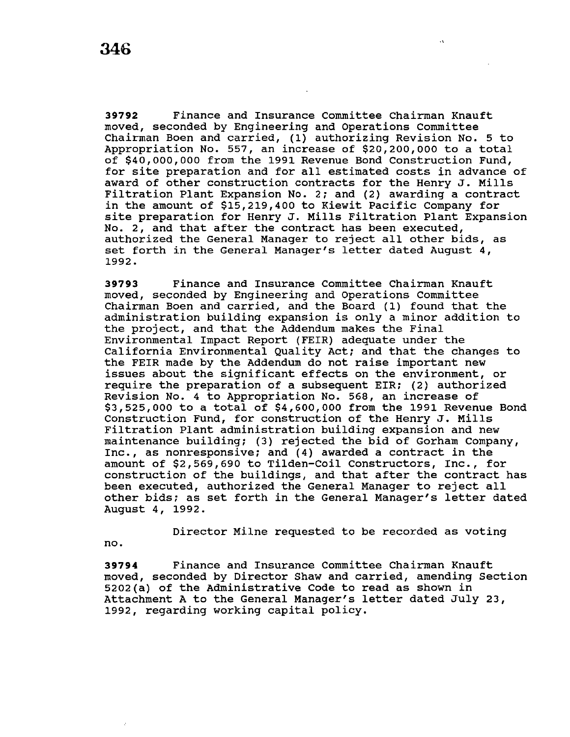**39792** Finance and Insurance Committee Chairman Knauft moved, seconded by Engineering and Operations Committee Chairman Boen and carried,  $(1)$  authorizing Revision No. 5 to Appropriation No. 557, an increase of \$20,200,000 to a total of \$40,000,000 from the 1991 Revenue Bond Construction Fund, for site preparation and for all estimated costs in advance of award of other construction contracts for the Henry J. Mills Filtration Plant Expansion No. 2; and (2) awarding a contract in the amount of \$15,219,400 to Kiewit Pacific Company for site preparation for Henry J. Mills Filtration Plant Expansion No. 2, and that after the contract has been executed, authorized the General Manager to reject all other bids, as set forth in the General Manager's letter dated August 4, 1992.

**39793** Finance and Insurance Committee Chairman Knauft moved, seconded by Engineering and Operations Committee Chairman Boen and carried, and the Board (1) found that the administration building expansion is only a minor addition to the project, and that the Addendum makes the Final Environmental Impact Report (FEIR) adequate under the California Environmental Quality Act; and that the changes to the FEIR made by the Addendum do not raise important new issues about the significant effects on the environment, or require the preparation of a subsequent EIR; (2) authorized Revision No. 4 to Appropriation No. 568, an increase of \$3,525,000 to a total of \$4,600,000 from the 1991 Revenue Bond Construction Fund, for construction of the Henry J. Mills Filtration Plant administration building expansion and new maintenance building; (3) rejected the bid of Gorham Company, Inc., as nonresponsive; and (4) awarded a contract in the amount of \$2,569,690 to Tilden-Coil Constructors, Inc., for construction of the buildings, and that after the contract has been executed, authorized the General Manager to reject all other bids; as set forth in the General Manager's letter dated August 4, 1992.

Director Milne requested to be recorded as voting

no.

**39794** Finance and Insurance Committee Chairman Knauft moved, seconded by Director Shaw and carried, amending Section 5202(a) of the Administrative Code to read as shown in Attachment A to the General Manager's letter dated July 23, 1992, regarding working capital policy.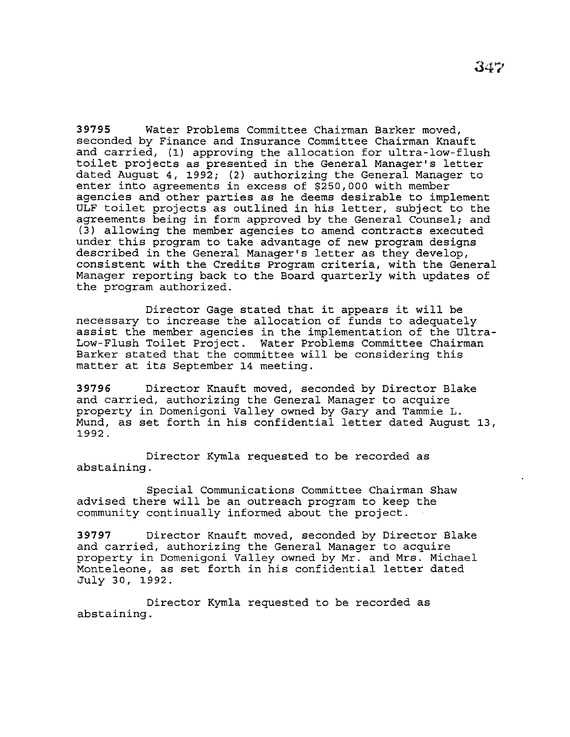**39795** Water Problems Committee Chairman Barker moved, seconded by Finance and Insurance Committee Chairman Knauft and carried, (1) approving the allocation for ultra-low-flush toilet projects as presented in the General Manager's letter dated August 4, 1992; (2) authorizing the General Manager to enter into agreements in excess of \$250,000 with member agencies and other parties as he deems desirable to implement ULF toilet projects as outlined in his letter, subject to the agreements being in form approved by the General Counsel; and (3) allowing the member agencies to amend contracts executed under this program to take advantage of new program designs described in the General Manager's letter as they develop, consistent with the Credits Program criteria, with the General Manager reporting back to the Board quarterly with updates of the program authorized.

Director Gage stated that it appears it will be necessary to increase the allocation of funds to adequately assist the member agencies in the implementation of the Ultra-Low-Flush Toilet Project. Water Problems Committee Chairman Barker stated that the committee will be considering this matter at its September 14 meeting.

**39796** Director Knauft moved, seconded by Director Blake and carried, authorizing the General Manager to acquire property in Domenigoni Valley owned by Gary and Tammie L. Mund, as set forth in his confidential letter dated August 13, 1992.

Director Kymla requested to be recorded as abstaining.

Special Communications Committee Chairman Shaw advised there will be an outreach program to keep the community continually informed about the project.

**39797** Director Knauft moved, seconded by Director Blake and carried, authorizing the General Manager to acquire property in Domenigoni Valley owned by Mr. and Mrs. Michael Monteleone, as set forth in his confidential letter dated July 30, 1992.

Director Kymla requested to be recorded as abstaining.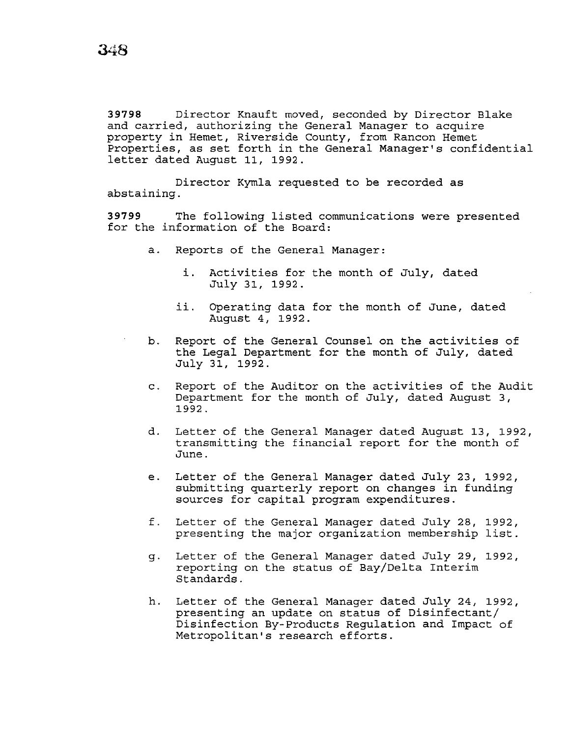**39798** Director Knauft moved, seconded by Director Blake and carried, authorizing the General Manager to acquire property in Hemet, Riverside County, from Rancon Hemet Properties, as set forth in the General Manager's confidential letter dated August 11, 1992.

Director Kymla requested to be recorded as abstaining.

**39799** The following listed communications were presented for the information of the Board:

- a. Reports of the General Manager:
	- *i.* Activities for the month of July, dated July 31, 1992.
	- *ii.* Operating data for the month of June, dated August 4, 1992.
- b. Report of the General Counsel on the activities of the Legal Department for the month of July, dated July 31, 1992.
	- c. Report of the Auditor on the activities of the Audit Department for the month of July, dated August 3, 1992.
	- d. Letter of the General Manager dated August 13, 1992, transmitting the financial report for the month of June.
	- e. Letter of the General Manager dated July 23, 1992, submitting quarterly report on changes in funding sources for capital program expenditures.
	- f. Letter of the General Manager dated July 28, 1992, presenting the major organization membership list.
	- g. Letter of the General Manager dated July 29, 1992, reporting on the status of Bay/Delta Interim Standards.
	- h. Letter of the General Manager dated July 24, 1992, presenting an update on status of Disinfectant/ Disinfection By-Products Regulation and Impact of Metropolitan's research efforts.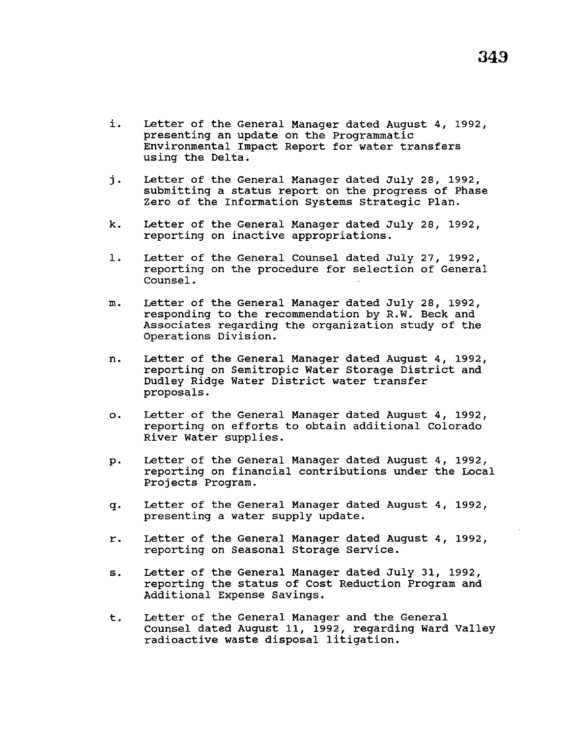- *i.* Letter of the General Manager dated August 4, 1992, presenting an update on the Programmatic Environmental Impact Report for water transfers using the Delta.
- j. Letter of the General Manager dated July 28, 1992, submitting a status report on the progress of Phase Zero of the Information systems Strategic Plan.
- k. Letter of the General Manager dated July 28, 1992, reporting on inactive appropriations.
- 1. Letter of the General Counsel dated July 27, 1992, reporting on the procedure for selection of General Counsel.
- m. Letter of the General Manager dated July 28, 1992, responding to the recommendation by R.W. Beck and Associates regarding the organization study of the Operations Division.
- n. Letter of the General Manager dated August 4, 1992, reporting on Semitropic Water Storage District and Dudley Ridge Water District water transfer proposals.
- o. Letter of the General Manager dated August 4, 1992, reporting on efforts to obtain additional Colorado River Water supplies.
- p. Letter of the General Manager dated August 4, 1992, reporting on financial contributions under the Local Projects Program.
- q. Letter of the General Manager dated August 4, 1992, presenting a water supply update.
- r. Letter of the General Manager dated August 4, 1992, reporting on Seasonal Storage Service.
- s. Letter of the General Manager dated July 31, 1992, reporting the status of Cost Reduction Program and Additional Expense Savings.
- t. Letter of the General Manager and the General counsel dated August 11, 1992, regarding Ward Valley radioactive waste disposal litigation.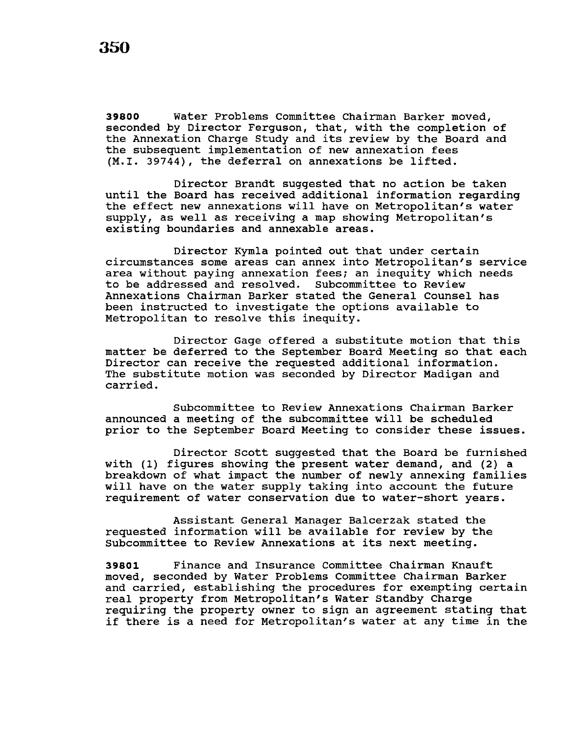**39800** Water Problems Committee Chairman Barker moved, seconded by Director Ferguson, that, with the completion of the Annexation Charge Study and its review by the Board and the subsequent implementation of new annexation fees (M.I. 39744), the deferral on annexations be lifted.

Director Brandt suggested that no action be taken until the Board has received additional information regarding the effect new annexations will have on Metropolitan's water supply, as well as receiving a map showing Metropolitan's existing boundaries and annexable areas.

Director Kymla pointed out that under certain circumstances some areas can annex into Metropolitan's service area without paying annexation fees; an inequity which needs to be addressed and resolved. Subcommittee to Review Annexations Chairman Barker stated the General Counsel has been instructed to investigate the options available to Metropolitan to resolve this inequity.

Director Gage offered a substitute motion that this matter be deferred to the September Board Meeting so that each Director can receive the requested additional information. The substitute motion was seconded by Director Madigan and carried.

Subcommittee to Review Annexations Chairman Barker announced a meeting of the subcommittee will be scheduled prior to the September Board Meeting to consider these issues.

Director Scott suggested that the Board be furnished with (1) figures showing the present water demand, and (2) a breakdown of what impact the number of newly annexing families will have on the water supply taking into account the future requirement of water conservation due to water-short years.

Assistant General Manager Balcerzak stated the requested information will be available for review by the Subcommittee to Review Annexations at its next meeting.

**39801** Finance and Insurance Committee Chairman Knauft moved, seconded by Water Problems Committee Chairman Barker and carried, establishing the procedures for exempting certain real property from Metropolitan's Water Standby Charge requiring the property owner to sign an agreement stating that if there is a need for Metropolitan's water at any time in the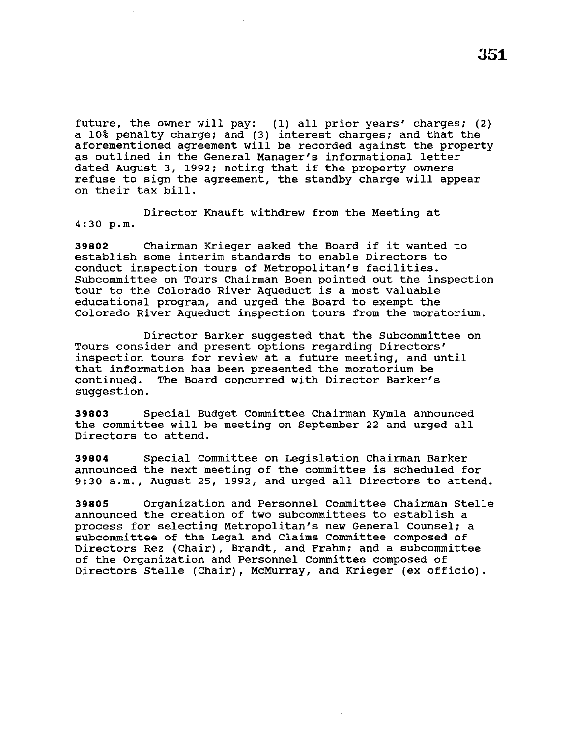future, the owner will pay: (1) all prior years' charges; (2) a 10% penalty charge; and (3) interest charges; and that the aforementioned agreement will be recorded against the property as outlined in the General Manager's informational letter dated August 3, 1992; noting that if the property owners refuse to sign the agreement, the standby charge will appear on their tax bill.

Director Knauft withdrew from the Meeting at 4:30 p.m.

**<sup>39802</sup>**Chairman Krieger asked the Board if it wanted to establish some interim standards to enable Directors to conduct inspection tours of Metropolitan's facilities. Subcommittee on Tours Chairman Been pointed out the inspection tour to the Colorado River Aqueduct is a most valuable educational program, and urged the Board to exempt the Colorado River Aqueduct inspection tours from the moratorium.

Director Barker suggested that the Subcommittee on Tours consider and present options regarding Directors' inspection tours for review at a future meeting, and until that information has been presented the moratorium be continued. The Board concurred with Director Barker's The Board concurred with Director Barker's suggestion.

**39803** Special Budget Committee Chairman Kymla announced the committee will be meeting on September 22 and urged all Directors to attend.

**39804** Special Committee on Legislation Chairman Barker announced the next meeting of the committee is scheduled for 9:30a.m., August 25, 1992, and urged all Directors to attend.

**39805** Organization and Personnel Committee Chairman Stelle announced the creation of two subcommittees to establish a process for selecting Metropolitan's new General Counsel; a subcommittee of the Legal and Claims Committee composed of Directors Rez (Chair), Brandt, and Frahm; and a subcommittee of the Organization and Personnel Committee composed of Directors Stelle (Chair), McMurray, and Krieger (ex officio).